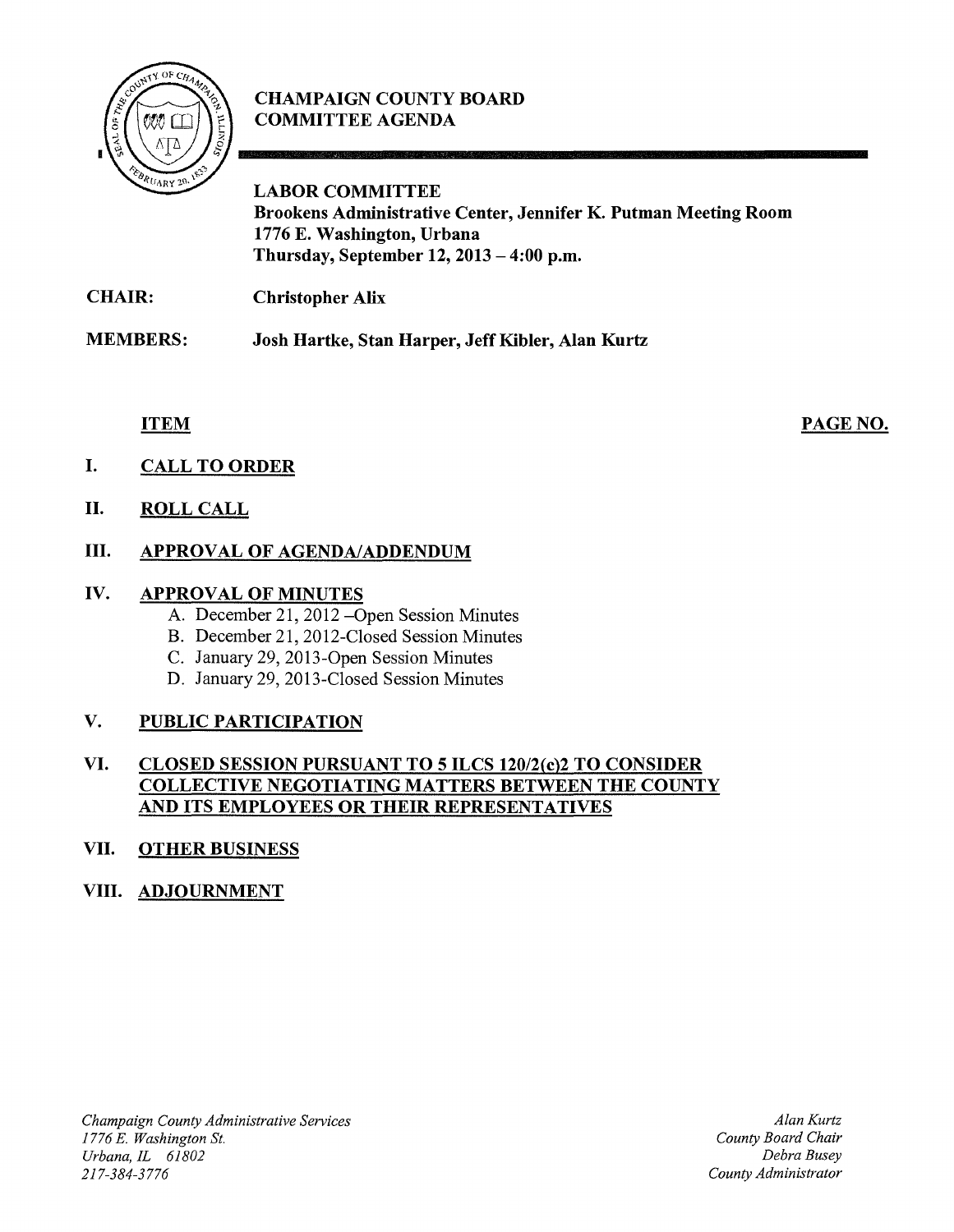

# **CHAMPAIGN COUNTY BOARD COMMITTEE AGENDA**

# **LABOR COMMITTEE Brookens Administrative Center, Jennifer K. Putman Meeting Room 1776 E. Washington, Urbana Thursday, September 12, 2013 - 4:00 p.m.**

**CHAIR: Christopher Alix** 

**MEMBERS: Josh Hartke, Stan Harper,** Jeff Kibler, **Alan Kurtz** 

#### **ITEM**

PAGE NO.

- **I. CALL TO ORDER**
- **II. ROLL CALL**

# **III. APPROVAL OF AGENDA/ADDENDUM**

#### **IV. APPROVAL OF MINUTES**

- A. December 21, 2012 Open Session Minutes
- B. December 21, 2012-Closed Session Minutes
- C. January 29, 2013-0pen Session Minutes
- D. January 29, 2013-Closed Session Minutes

## **V. PUBLIC PARTICIPATION**

#### **VI. CLOSED SESSION PURSUANT TO 5 ILCS** *120/2(c)2* **TO CONSIDER COLLECTIVE NEGOTIATING MATTERS BETWEEN THE COUNTY AND ITS EMPLOYEES OR THEIR REPRESENTATIVES**

## **VII. OTHER BUSINESS**

## **VIII. ADJOURNMENT**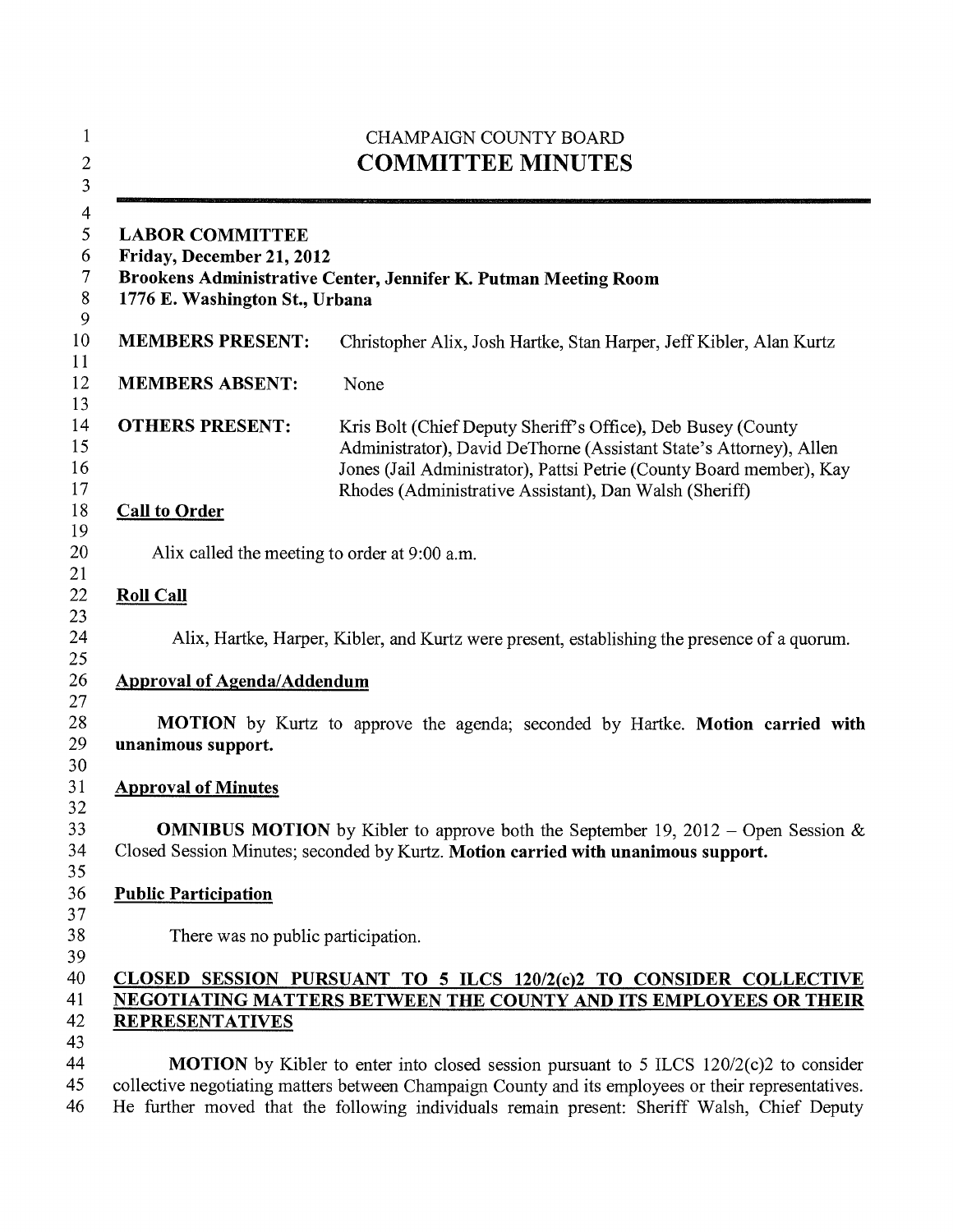| <b>LABOR COMMITTEE</b><br>Friday, December 21, 2012<br>Brookens Administrative Center, Jennifer K. Putman Meeting Room<br>1776 E. Washington St., Urbana |                                                                                                                                                                                                                                                                      |  |
|----------------------------------------------------------------------------------------------------------------------------------------------------------|----------------------------------------------------------------------------------------------------------------------------------------------------------------------------------------------------------------------------------------------------------------------|--|
| <b>MEMBERS PRESENT:</b>                                                                                                                                  | Christopher Alix, Josh Hartke, Stan Harper, Jeff Kibler, Alan Kurtz                                                                                                                                                                                                  |  |
| <b>MEMBERS ABSENT:</b>                                                                                                                                   | None                                                                                                                                                                                                                                                                 |  |
| <b>OTHERS PRESENT:</b>                                                                                                                                   | Kris Bolt (Chief Deputy Sheriff's Office), Deb Busey (County<br>Administrator), David DeThorne (Assistant State's Attorney), Allen<br>Jones (Jail Administrator), Pattsi Petrie (County Board member), Kay<br>Rhodes (Administrative Assistant), Dan Walsh (Sheriff) |  |
| <b>Call to Order</b>                                                                                                                                     |                                                                                                                                                                                                                                                                      |  |
| Alix called the meeting to order at 9:00 a.m.                                                                                                            |                                                                                                                                                                                                                                                                      |  |
| <b>Roll Call</b>                                                                                                                                         |                                                                                                                                                                                                                                                                      |  |
|                                                                                                                                                          | Alix, Hartke, Harper, Kibler, and Kurtz were present, establishing the presence of a quorum.                                                                                                                                                                         |  |
| <b>Approval of Agenda/Addendum</b>                                                                                                                       |                                                                                                                                                                                                                                                                      |  |
| unanimous support.                                                                                                                                       | MOTION by Kurtz to approve the agenda; seconded by Hartke. Motion carried with                                                                                                                                                                                       |  |
| <b>Approval of Minutes</b>                                                                                                                               |                                                                                                                                                                                                                                                                      |  |
|                                                                                                                                                          | <b>OMNIBUS MOTION</b> by Kibler to approve both the September 19, 2012 – Open Session &<br>Closed Session Minutes; seconded by Kurtz. Motion carried with unanimous support.                                                                                         |  |
|                                                                                                                                                          |                                                                                                                                                                                                                                                                      |  |
| <b>Public Participation</b>                                                                                                                              |                                                                                                                                                                                                                                                                      |  |
| There was no public participation.                                                                                                                       |                                                                                                                                                                                                                                                                      |  |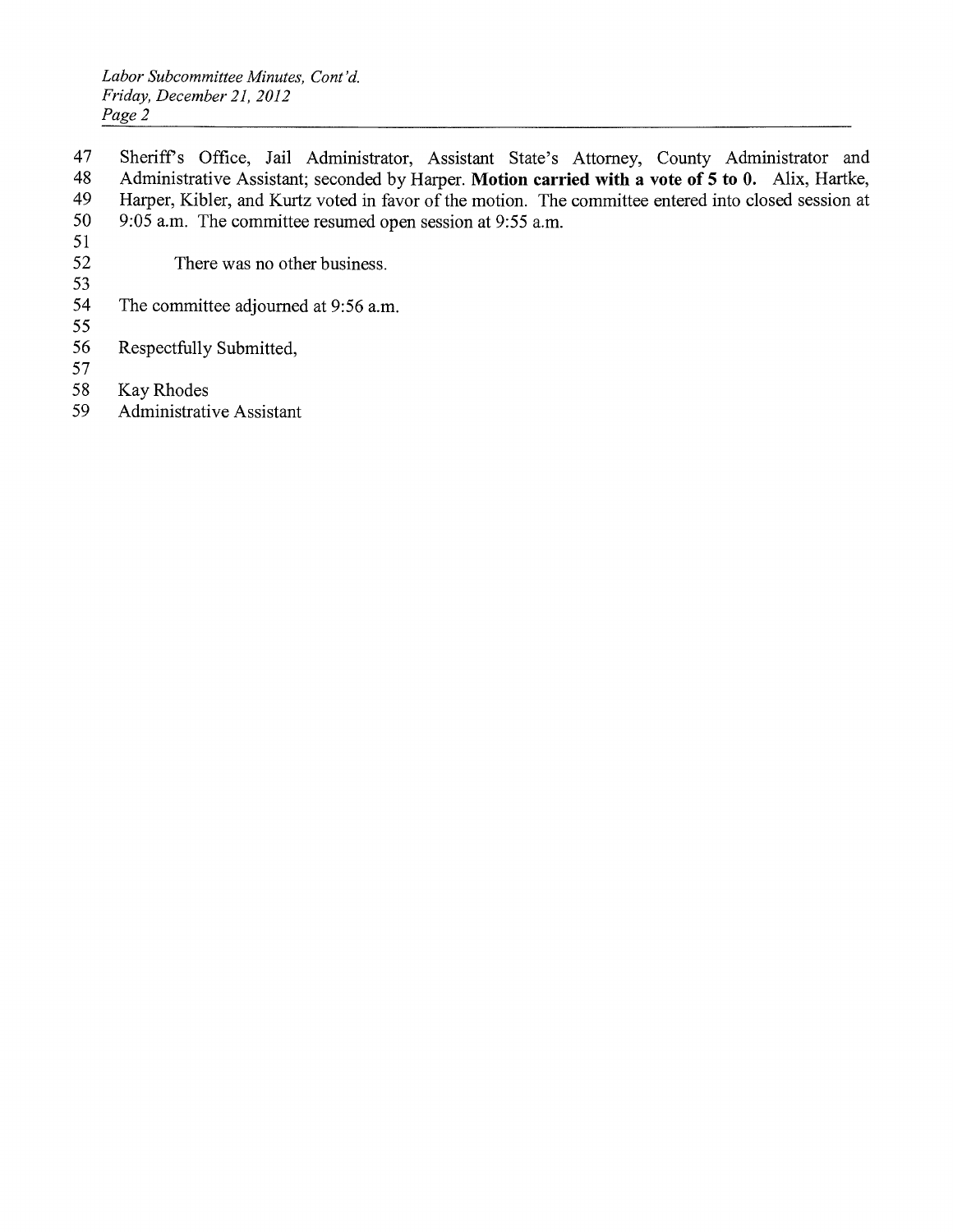*Labor Subcommittee Minutes, Cant 'd. Friday, December 21,2012 Page* 2

47 Sheriff's Office, Jail Administrator, Assistant State's Attorney, County Administrator and 48 Administrative Assistant; seconded by Harper. **Motion carried with a vote of 5 to O.** Alix, Hartke, Harper, Kibler, and Kurtz voted in favor of the motion. The committee entered into closed session at 50 9:05 a.m. The committee resumed open session at 9:55 a.m.

- 52 There was no other business.
- 53

51

- The committee adjourned at 9:56 a.m.
- 55 56 Respectfully Submitted,
- 57
- 58 Kay Rhodes
- 59 Administrative Assistant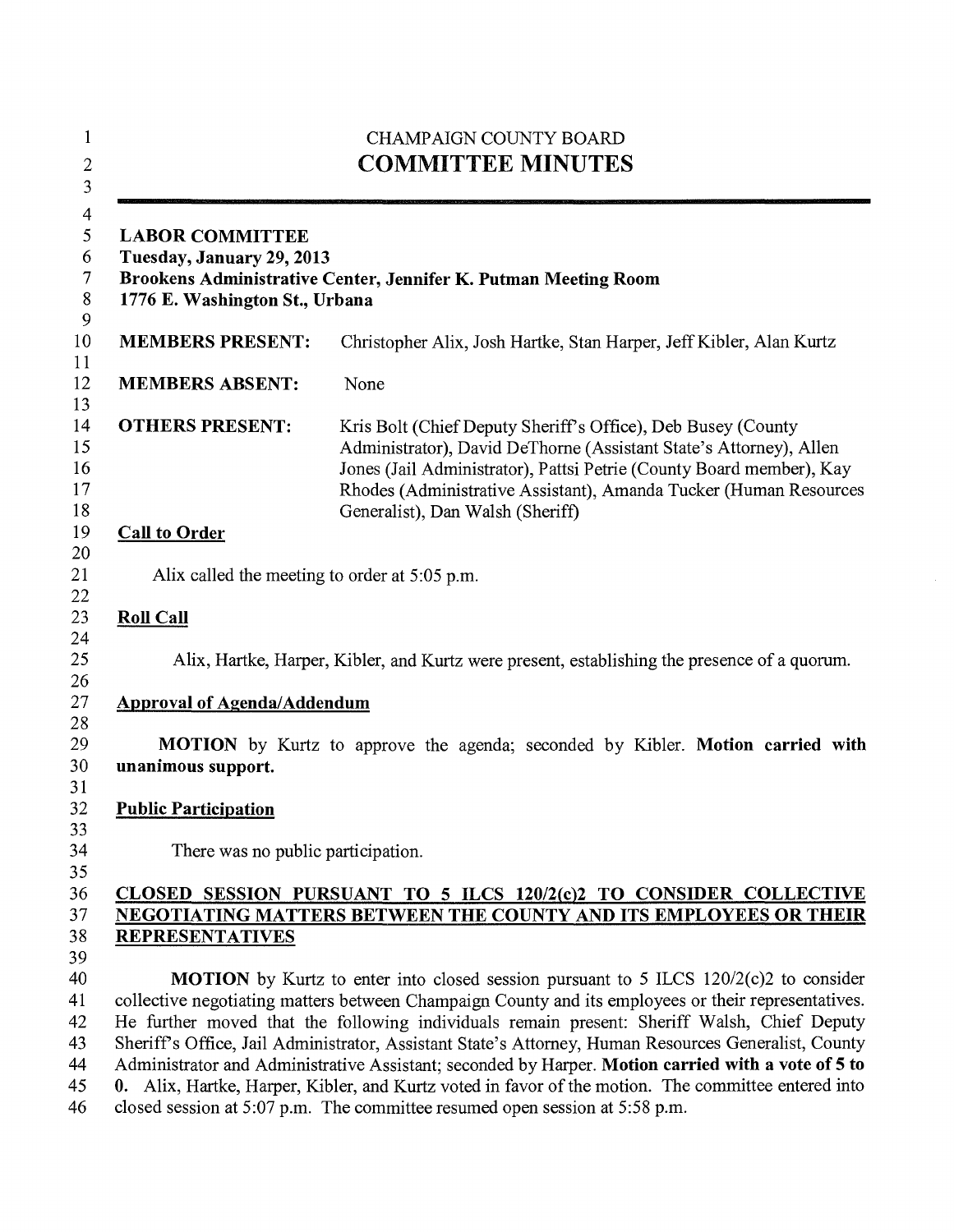| $\mathbf{1}$<br>$\overline{c}$<br>$\overline{\mathbf{3}}$                  |                                                                                                                                         | <b>CHAMPAIGN COUNTY BOARD</b><br><b>COMMITTEE MINUTES</b>                                                                                                                                                                                                                                                                                                                                                                                                                                                                                                                                                                                                                                       |  |
|----------------------------------------------------------------------------|-----------------------------------------------------------------------------------------------------------------------------------------|-------------------------------------------------------------------------------------------------------------------------------------------------------------------------------------------------------------------------------------------------------------------------------------------------------------------------------------------------------------------------------------------------------------------------------------------------------------------------------------------------------------------------------------------------------------------------------------------------------------------------------------------------------------------------------------------------|--|
| $\overline{\mathcal{A}}$<br>5<br>6<br>$\boldsymbol{7}$<br>$\,$ 8 $\,$<br>9 | <b>LABOR COMMITTEE</b><br>Tuesday, January 29, 2013<br>1776 E. Washington St., Urbana                                                   | Brookens Administrative Center, Jennifer K. Putman Meeting Room                                                                                                                                                                                                                                                                                                                                                                                                                                                                                                                                                                                                                                 |  |
| 10                                                                         | <b>MEMBERS PRESENT:</b>                                                                                                                 | Christopher Alix, Josh Hartke, Stan Harper, Jeff Kibler, Alan Kurtz                                                                                                                                                                                                                                                                                                                                                                                                                                                                                                                                                                                                                             |  |
| 11<br>12                                                                   | <b>MEMBERS ABSENT:</b>                                                                                                                  | None                                                                                                                                                                                                                                                                                                                                                                                                                                                                                                                                                                                                                                                                                            |  |
| 13<br>14<br>15<br>16<br>17<br>18                                           | <b>OTHERS PRESENT:</b>                                                                                                                  | Kris Bolt (Chief Deputy Sheriff's Office), Deb Busey (County<br>Administrator), David DeThorne (Assistant State's Attorney), Allen<br>Jones (Jail Administrator), Pattsi Petrie (County Board member), Kay<br>Rhodes (Administrative Assistant), Amanda Tucker (Human Resources<br>Generalist), Dan Walsh (Sheriff)                                                                                                                                                                                                                                                                                                                                                                             |  |
| 19<br>20                                                                   | <b>Call to Order</b>                                                                                                                    |                                                                                                                                                                                                                                                                                                                                                                                                                                                                                                                                                                                                                                                                                                 |  |
| 21                                                                         | Alix called the meeting to order at 5:05 p.m.                                                                                           |                                                                                                                                                                                                                                                                                                                                                                                                                                                                                                                                                                                                                                                                                                 |  |
| 22<br>23                                                                   | <b>Roll Call</b>                                                                                                                        |                                                                                                                                                                                                                                                                                                                                                                                                                                                                                                                                                                                                                                                                                                 |  |
| 24<br>25<br>26<br>27                                                       | <b>Approval of Agenda/Addendum</b>                                                                                                      | Alix, Hartke, Harper, Kibler, and Kurtz were present, establishing the presence of a quorum.                                                                                                                                                                                                                                                                                                                                                                                                                                                                                                                                                                                                    |  |
| 28<br>29<br>30<br>31                                                       | unanimous support.                                                                                                                      | MOTION by Kurtz to approve the agenda; seconded by Kibler. Motion carried with                                                                                                                                                                                                                                                                                                                                                                                                                                                                                                                                                                                                                  |  |
| 32                                                                         | <b>Public Participation</b>                                                                                                             |                                                                                                                                                                                                                                                                                                                                                                                                                                                                                                                                                                                                                                                                                                 |  |
| 33<br>34                                                                   | There was no public participation.                                                                                                      |                                                                                                                                                                                                                                                                                                                                                                                                                                                                                                                                                                                                                                                                                                 |  |
| 35<br>36<br>37                                                             | CLOSED SESSION PURSUANT TO 5 ILCS 120/2(c)2 TO CONSIDER COLLECTIVE<br>NEGOTIATING MATTERS BETWEEN THE COUNTY AND ITS EMPLOYEES OR THEIR |                                                                                                                                                                                                                                                                                                                                                                                                                                                                                                                                                                                                                                                                                                 |  |
| 38<br>39                                                                   | <b>REPRESENTATIVES</b>                                                                                                                  |                                                                                                                                                                                                                                                                                                                                                                                                                                                                                                                                                                                                                                                                                                 |  |
| 40<br>41<br>42<br>43<br>44<br>45<br>46                                     |                                                                                                                                         | MOTION by Kurtz to enter into closed session pursuant to 5 ILCS 120/2(c)2 to consider<br>collective negotiating matters between Champaign County and its employees or their representatives.<br>He further moved that the following individuals remain present: Sheriff Walsh, Chief Deputy<br>Sheriff's Office, Jail Administrator, Assistant State's Attorney, Human Resources Generalist, County<br>Administrator and Administrative Assistant; seconded by Harper. Motion carried with a vote of 5 to<br>0. Alix, Hartke, Harper, Kibler, and Kurtz voted in favor of the motion. The committee entered into<br>closed session at 5:07 p.m. The committee resumed open session at 5:58 p.m. |  |